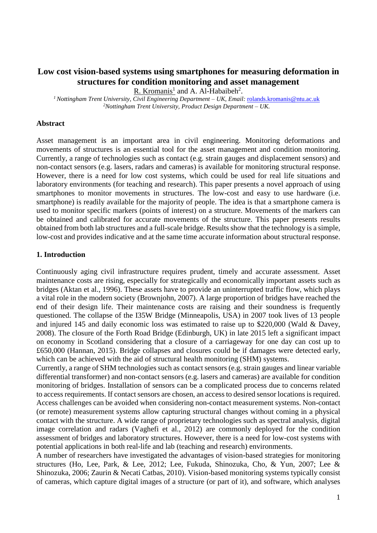## **Low cost vision-based systems using smartphones for measuring deformation in structures for condition monitoring and asset management**

R. Kromanis<sup>1</sup> and A. Al-Habaibeh<sup>2</sup>.

*<sup>1</sup> Nottingham Trent University, Civil Engineering Department – UK, Email:* [rolands.kromanis@ntu.ac.uk](mailto:rolands.kromanis@ntu.ac.uk) *<sup>2</sup>Nottingham Trent University, Product Design Department – UK.*

### **Abstract**

Asset management is an important area in civil engineering. Monitoring deformations and movements of structures is an essential tool for the asset management and condition monitoring. Currently, a range of technologies such as contact (e.g. strain gauges and displacement sensors) and non-contact sensors (e.g. lasers, radars and cameras) is available for monitoring structural response. However, there is a need for low cost systems, which could be used for real life situations and laboratory environments (for teaching and research). This paper presents a novel approach of using smartphones to monitor movements in structures. The low-cost and easy to use hardware (i.e. smartphone) is readily available for the majority of people. The idea is that a smartphone camera is used to monitor specific markers (points of interest) on a structure. Movements of the markers can be obtained and calibrated for accurate movements of the structure. This paper presents results obtained from both lab structures and a full-scale bridge. Results show that the technology is a simple, low-cost and provides indicative and at the same time accurate information about structural response.

### **1. Introduction**

Continuously aging civil infrastructure requires prudent, timely and accurate assessment. Asset maintenance costs are rising, especially for strategically and economically important assets such as bridges (Aktan et al., 1996). These assets have to provide an uninterrupted traffic flow, which plays a vital role in the modern society (Brownjohn, 2007). A large proportion of bridges have reached the end of their design life. Their maintenance costs are raising and their soundness is frequently questioned. The collapse of the I35W Bridge (Minneapolis, USA) in 2007 took lives of 13 people and injured 145 and daily economic loss was estimated to raise up to \$220,000 (Wald & Davey, 2008). The closure of the Forth Road Bridge (Edinburgh, UK) in late 2015 left a significant impact on economy in Scotland considering that a closure of a carriageway for one day can cost up to £650,000 (Hannan, 2015). Bridge collapses and closures could be if damages were detected early, which can be achieved with the aid of structural health monitoring (SHM) systems.

Currently, a range of SHM technologies such as contact sensors (e.g. strain gauges and linear variable differential transformer) and non-contact sensors (e.g. lasers and cameras) are available for condition monitoring of bridges. Installation of sensors can be a complicated process due to concerns related to access requirements. If contact sensors are chosen, an access to desired sensor locations is required. Access challenges can be avoided when considering non-contact measurement systems. Non-contact (or remote) measurement systems allow capturing structural changes without coming in a physical contact with the structure. A wide range of proprietary technologies such as spectral analysis, digital image correlation and radars (Vaghefi et al., 2012) are commonly deployed for the condition assessment of bridges and laboratory structures. However, there is a need for low-cost systems with potential applications in both real-life and lab (teaching and research) environments.

A number of researchers have investigated the advantages of vision-based strategies for monitoring structures (Ho, Lee, Park, & Lee, 2012; Lee, Fukuda, Shinozuka, Cho, & Yun, 2007; Lee & Shinozuka, 2006; Zaurin & Necati Catbas, 2010). Vision-based monitoring systems typically consist of cameras, which capture digital images of a structure (or part of it), and software, which analyses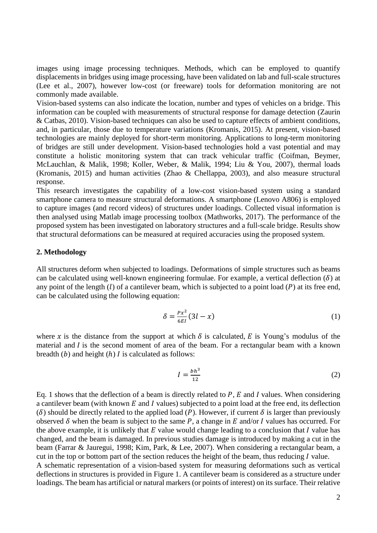images using image processing techniques. Methods, which can be employed to quantify displacements in bridges using image processing, have been validated on lab and full-scale structures (Lee et al., 2007), however low-cost (or freeware) tools for deformation monitoring are not commonly made available.

Vision-based systems can also indicate the location, number and types of vehicles on a bridge. This information can be coupled with measurements of structural response for damage detection (Zaurin & Catbas, 2010). Vision-based techniques can also be used to capture effects of ambient conditions, and, in particular, those due to temperature variations (Kromanis, 2015). At present, vision-based technologies are mainly deployed for short-term monitoring. Applications to long-term monitoring of bridges are still under development. Vision-based technologies hold a vast potential and may constitute a holistic monitoring system that can track vehicular traffic (Coifman, Beymer, McLauchlan, & Malik, 1998; Koller, Weber, & Malik, 1994; Liu & You, 2007), thermal loads (Kromanis, 2015) and human activities (Zhao & Chellappa, 2003), and also measure structural response.

This research investigates the capability of a low-cost vision-based system using a standard smartphone camera to measure structural deformations. A smartphone (Lenovo A806) is employed to capture images (and record videos) of structures under loadings. Collected visual information is then analysed using Matlab image processing toolbox (Mathworks, 2017). The performance of the proposed system has been investigated on laboratory structures and a full-scale bridge. Results show that structural deformations can be measured at required accuracies using the proposed system.

#### **2. Methodology**

All structures deform when subjected to loadings. Deformations of simple structures such as beams can be calculated using well-known engineering formulae. For example, a vertical deflection  $(\delta)$  at any point of the length  $(l)$  of a cantilever beam, which is subjected to a point load  $(P)$  at its free end, can be calculated using the following equation:

$$
\delta = \frac{Px^2}{6EI} (3l - x) \tag{1}
$$

where x is the distance from the support at which  $\delta$  is calculated, E is Young's modulus of the material and  $I$  is the second moment of area of the beam. For a rectangular beam with a known breadth  $(b)$  and height  $(h)$  I is calculated as follows:

$$
I = \frac{bh^3}{12} \tag{2}
$$

Eq. 1 shows that the deflection of a beam is directly related to  $P$ ,  $E$  and  $I$  values. When considering a cantilever beam (with known  $E$  and  $I$  values) subjected to a point load at the free end, its deflection ( $\delta$ ) should be directly related to the applied load (P). However, if current  $\delta$  is larger than previously observed  $\delta$  when the beam is subject to the same P, a change in E and/or I values has occurred. For the above example, it is unlikely that  $E$  value would change leading to a conclusion that  $I$  value has changed, and the beam is damaged. In previous studies damage is introduced by making a cut in the beam (Farrar & Jauregui, 1998; Kim, Park, & Lee, 2007). When considering a rectangular beam, a cut in the top or bottom part of the section reduces the height of the beam, thus reducing  *value.* A schematic representation of a vision-based system for measuring deformations such as vertical deflections in structures is provided in [Figure 1.](#page-2-0) A cantilever beam is considered as a structure under loadings. The beam has artificial or natural markers (or points of interest) on its surface. Their relative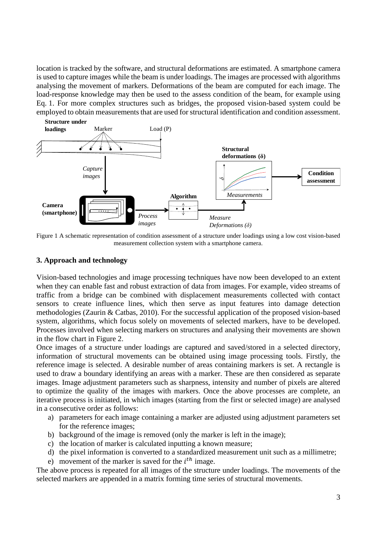location is tracked by the software, and structural deformations are estimated. A smartphone camera is used to capture images while the beam is under loadings. The images are processed with algorithms analysing the movement of markers. Deformations of the beam are computed for each image. The load-response knowledge may then be used to the assess condition of the beam, for example using Eq. 1. For more complex structures such as bridges, the proposed vision-based system could be employed to obtain measurements that are used for structural identification and condition assessment.



<span id="page-2-0"></span>Figure 1 A schematic representation of condition assessment of a structure under loadings using a low cost vision-based measurement collection system with a smartphone camera.

### **3. Approach and technology**

Vision-based technologies and image processing techniques have now been developed to an extent when they can enable fast and robust extraction of data from images. For example, video streams of traffic from a bridge can be combined with displacement measurements collected with contact sensors to create influence lines, which then serve as input features into damage detection methodologies (Zaurin & Catbas, 2010). For the successful application of the proposed vision-based system, algorithms, which focus solely on movements of selected markers, have to be developed. Processes involved when selecting markers on structures and analysing their movements are shown in the flow chart in [Figure 2.](#page-3-0)

Once images of a structure under loadings are captured and saved/stored in a selected directory, information of structural movements can be obtained using image processing tools. Firstly, the reference image is selected. A desirable number of areas containing markers is set. A rectangle is used to draw a boundary identifying an areas with a marker. These are then considered as separate images. Image adjustment parameters such as sharpness, intensity and number of pixels are altered to optimize the quality of the images with markers. Once the above processes are complete, an iterative process is initiated, in which images (starting from the first or selected image) are analysed in a consecutive order as follows:

- a) parameters for each image containing a marker are adjusted using adjustment parameters set for the reference images;
- b) background of the image is removed (only the marker is left in the image);
- c) the location of marker is calculated inputting a known measure;
- d) the pixel information is converted to a standardized measurement unit such as a millimetre;
- e) movement of the marker is saved for the  $i<sup>th</sup>$  image.

The above process is repeated for all images of the structure under loadings. The movements of the selected markers are appended in a matrix forming time series of structural movements.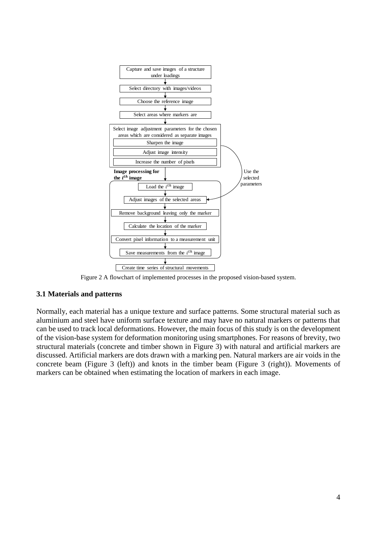

Figure 2 A flowchart of implemented processes in the proposed vision-based system.

### <span id="page-3-0"></span>**3.1 Materials and patterns**

Normally, each material has a unique texture and surface patterns. Some structural material such as aluminium and steel have uniform surface texture and may have no natural markers or patterns that can be used to track local deformations. However, the main focus of this study is on the development of the vision-base system for deformation monitoring using smartphones. For reasons of brevity, two structural materials (concrete and timber shown in [Figure 3\)](#page-4-0) with natural and artificial markers are discussed. Artificial markers are dots drawn with a marking pen. Natural markers are air voids in the concrete beam [\(Figure 3](#page-4-0) (left)) and knots in the timber beam [\(Figure 3](#page-4-0) (right)). Movements of markers can be obtained when estimating the location of markers in each image.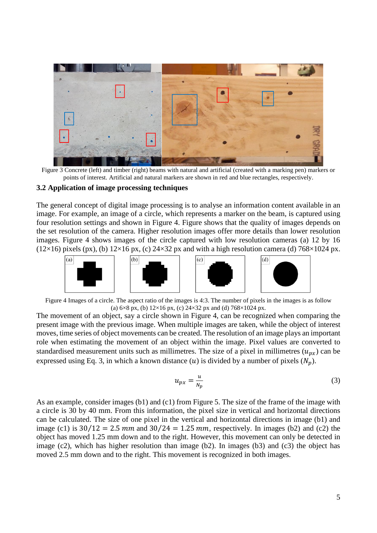

<span id="page-4-0"></span>Figure 3 Concrete (left) and timber (right) beams with natural and artificial (created with a marking pen) markers or points of interest. Artificial and natural markers are shown in red and blue rectangles, respectively.

### **3.2 Application of image processing techniques**

The general concept of digital image processing is to analyse an information content available in an image. For example, an image of a circle, which represents a marker on the beam, is captured using four resolution settings and shown in [Figure 4.](#page-4-1) Figure shows that the quality of images depends on the set resolution of the camera. Higher resolution images offer more details than lower resolution images. [Figure 4](#page-4-1) shows images of the circle captured with low resolution cameras (a) 12 by 16 ( $12\times16$ ) pixels (px), (b)  $12\times16$  px, (c)  $24\times32$  px and with a high resolution camera (d)  $768\times1024$  px.



<span id="page-4-1"></span>Figure 4 Images of a circle. The aspect ratio of the images is 4:3. The number of pixels in the images is as follow (a)  $6\times8$  px, (b)  $12\times16$  px, (c)  $24\times32$  px and (d)  $768\times1024$  px.

The movement of an object, say a circle shown in [Figure 4,](#page-4-1) can be recognized when comparing the present image with the previous image. When multiple images are taken, while the object of interest moves, time series of object movements can be created. The resolution of an image plays an important role when estimating the movement of an object within the image. Pixel values are converted to standardised measurement units such as millimetres. The size of a pixel in millimetres  $(u_{nx})$  can be expressed using Eq. 3, in which a known distance (*u*) is divided by a number of pixels ( $N_p$ ).

$$
u_{px} = \frac{u}{N_p} \tag{3}
$$

As an example, consider images (b1) and (c1) from [Figure 5.](#page-5-0) The size of the frame of the image with a circle is 30 by 40 mm. From this information, the pixel size in vertical and horizontal directions can be calculated. The size of one pixel in the vertical and horizontal directions in image (b1) and image (c1) is  $30/12 = 2.5$  mm and  $30/24 = 1.25$  mm, respectively. In images (b2) and (c2) the object has moved 1.25 mm down and to the right. However, this movement can only be detected in image (c2), which has higher resolution than image (b2). In images (b3) and (c3) the object has moved 2.5 mm down and to the right. This movement is recognized in both images.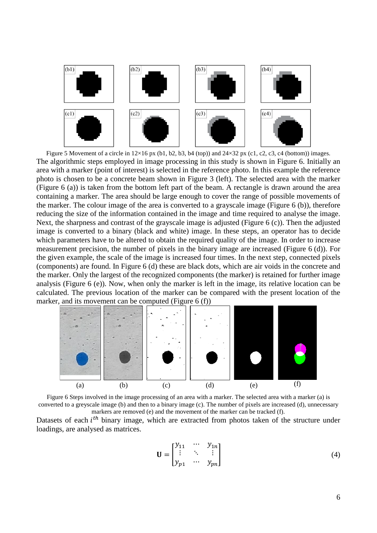

<span id="page-5-0"></span>Figure 5 Movement of a circle in  $12\times16$  px (b1, b2, b3, b4 (top)) and  $24\times32$  px (c1, c2, c3, c4 (bottom)) images. The algorithmic steps employed in image processing in this study is shown in [Figure 6.](#page-5-1) Initially an area with a marker (point of interest) is selected in the reference photo. In this example the reference photo is chosen to be a concrete beam shown in [Figure 3](#page-4-0) (left). The selected area with the marker [\(Figure 6](#page-5-1) (a)) is taken from the bottom left part of the beam. A rectangle is drawn around the area containing a marker. The area should be large enough to cover the range of possible movements of the marker. The colour image of the area is converted to a grayscale image [\(Figure 6](#page-5-1) (b)), therefore reducing the size of the information contained in the image and time required to analyse the image. Next, the sharpness and contrast of the grayscale image is adjusted [\(Figure 6](#page-5-1) (c)). Then the adjusted image is converted to a binary (black and white) image. In these steps, an operator has to decide which parameters have to be altered to obtain the required quality of the image. In order to increase measurement precision, the number of pixels in the binary image are increased [\(Figure 6](#page-5-1) (d)). For the given example, the scale of the image is increased four times. In the next step, connected pixels (components) are found. In [Figure 6](#page-5-1) (d) these are black dots, which are air voids in the concrete and the marker. Only the largest of the recognized components (the marker) is retained for further image analysis [\(Figure 6](#page-5-1) (e)). Now, when only the marker is left in the image, its relative location can be calculated. The previous location of the marker can be compared with the present location of the marker, and its movement can be computed [\(Figure 6](#page-5-1) (f))



<span id="page-5-1"></span>Figure 6 Steps involved in the image processing of an area with a marker. The selected area with a marker (a) is converted to a greyscale image (b) and then to a binary image (c). The number of pixels are increased (d), unnecessary markers are removed (e) and the movement of the marker can be tracked (f). Datasets of each  $i<sup>th</sup>$  binary image, which are extracted from photos taken of the structure under loadings, are analysed as matrices.

$$
\mathbf{U} = \begin{bmatrix} y_{11} & \cdots & y_{1n} \\ \vdots & \ddots & \vdots \\ y_{p1} & \cdots & y_{pn} \end{bmatrix}
$$
 (4)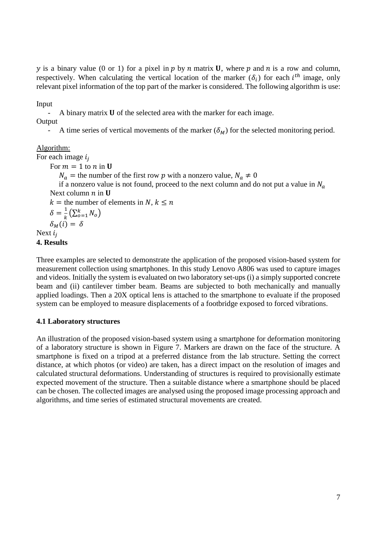y is a binary value (0 or 1) for a pixel in  $p$  by  $n$  matrix **U**, where  $p$  and  $n$  is a row and column, respectively. When calculating the vertical location of the marker  $(\delta_i)$  for each  $i^{th}$  image, only relevant pixel information of the top part of the marker is considered. The following algorithm is use:

Input

A binary matrix  **of the selected area with the marker for each image.** 

**Output** 

- A time series of vertical movements of the marker  $(\delta_M)$  for the selected monitoring period.

### Algorithm:

For each image  $i_i$ 

For  $m = 1$  to  $n$  in **U** 

 $N_a$  = the number of the first row p with a nonzero value,  $N_a \neq 0$ 

if a nonzero value is not found, proceed to the next column and do not put a value in  $N_a$ Next column  $n$  in  $U$ 

 $k =$  the number of elements in N,  $k \leq n$ 

 $\delta = \frac{1}{l}$  $\frac{1}{k}(\sum_{o=1}^{k} N_o)$  $\delta_M(i) = \delta$ 

# Next  $i_i$

### **4. Results**

Three examples are selected to demonstrate the application of the proposed vision-based system for measurement collection using smartphones. In this study Lenovo A806 was used to capture images and videos. Initially the system is evaluated on two laboratory set-ups (i) a simply supported concrete beam and (ii) cantilever timber beam. Beams are subjected to both mechanically and manually applied loadings. Then a 20X optical lens is attached to the smartphone to evaluate if the proposed system can be employed to measure displacements of a footbridge exposed to forced vibrations.

### **4.1 Laboratory structures**

An illustration of the proposed vision-based system using a smartphone for deformation monitoring of a laboratory structure is shown in [Figure 7.](#page-7-0) Markers are drawn on the face of the structure. A smartphone is fixed on a tripod at a preferred distance from the lab structure. Setting the correct distance, at which photos (or video) are taken, has a direct impact on the resolution of images and calculated structural deformations. Understanding of structures is required to provisionally estimate expected movement of the structure. Then a suitable distance where a smartphone should be placed can be chosen. The collected images are analysed using the proposed image processing approach and algorithms, and time series of estimated structural movements are created.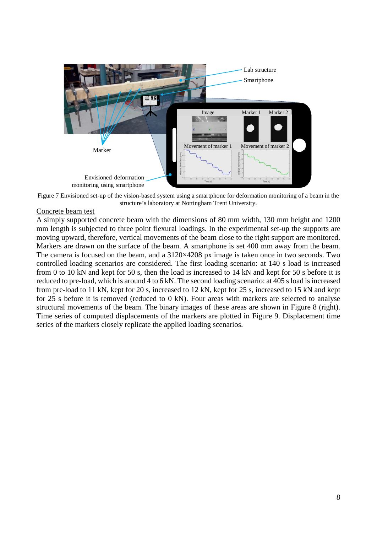

Figure 7 Envisioned set-up of the vision-based system using a smartphone for deformation monitoring of a beam in the structure's laboratory at Nottingham Trent University.

### <span id="page-7-0"></span>Concrete beam test

A simply supported concrete beam with the dimensions of 80 mm width, 130 mm height and 1200 mm length is subjected to three point flexural loadings. In the experimental set-up the supports are moving upward, therefore, vertical movements of the beam close to the right support are monitored. Markers are drawn on the surface of the beam. A smartphone is set 400 mm away from the beam. The camera is focused on the beam, and a 3120×4208 px image is taken once in two seconds. Two controlled loading scenarios are considered. The first loading scenario: at 140 s load is increased from 0 to 10 kN and kept for 50 s, then the load is increased to 14 kN and kept for 50 s before it is reduced to pre-load, which is around 4 to 6 kN. The second loading scenario: at 405 s load is increased from pre-load to 11 kN, kept for 20 s, increased to 12 kN, kept for 25 s, increased to 15 kN and kept for 25 s before it is removed (reduced to 0 kN). Four areas with markers are selected to analyse structural movements of the beam. The binary images of these areas are shown in [Figure 8](#page-8-0) (right). Time series of computed displacements of the markers are plotted in [Figure 9.](#page-8-1) Displacement time series of the markers closely replicate the applied loading scenarios.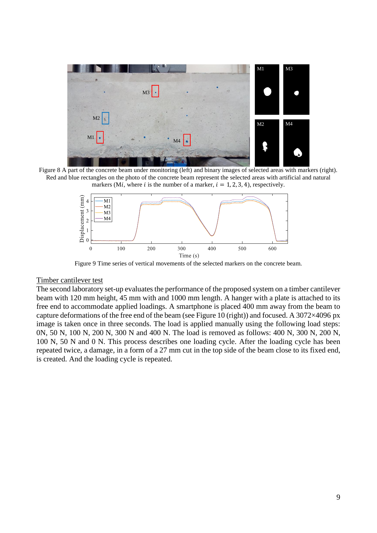

<span id="page-8-0"></span>Figure 8 A part of the concrete beam under monitoring (left) and binary images of selected areas with markers (right). Red and blue rectangles on the photo of the concrete beam represent the selected areas with artificial and natural markers (Mi, where i is the number of a marker,  $i = 1, 2, 3, 4$ ), respectively.



Figure 9 Time series of vertical movements of the selected markers on the concrete beam.

#### <span id="page-8-1"></span>Timber cantilever test

The second laboratory set-up evaluates the performance of the proposed system on a timber cantilever beam with 120 mm height, 45 mm with and 1000 mm length. A hanger with a plate is attached to its free end to accommodate applied loadings. A smartphone is placed 400 mm away from the beam to capture deformations of the free end of the beam (see [Figure 10](#page-9-0) (right)) and focused. A 3072 $\times$ 4096 px image is taken once in three seconds. The load is applied manually using the following load steps: 0N, 50 N, 100 N, 200 N, 300 N and 400 N. The load is removed as follows: 400 N, 300 N, 200 N, 100 N, 50 N and 0 N. This process describes one loading cycle. After the loading cycle has been repeated twice, a damage, in a form of a 27 mm cut in the top side of the beam close to its fixed end, is created. And the loading cycle is repeated.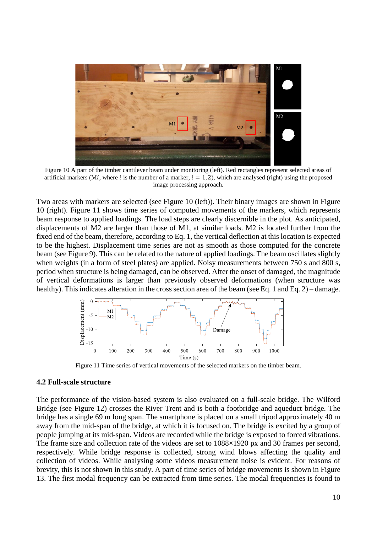

Figure 10 A part of the timber cantilever beam under monitoring (left). Red rectangles represent selected areas of artificial markers (Mi, where i is the number of a marker,  $i = 1, 2$ ), which are analysed (right) using the proposed image processing approach.

<span id="page-9-0"></span>Two areas with markers are selected (see [Figure 10](#page-9-0) (left)). Their binary images are shown in [Figure](#page-9-0)  [10](#page-9-0) (right). [Figure 11](#page-9-1) shows time series of computed movements of the markers, which represents beam response to applied loadings. The load steps are clearly discernible in the plot. As anticipated, displacements of M2 are larger than those of M1, at similar loads. M2 is located further from the fixed end of the beam, therefore, according to Eq. 1, the vertical deflection at this location is expected to be the highest. Displacement time series are not as smooth as those computed for the concrete beam (se[e Figure 9\)](#page-8-1). This can be related to the nature of applied loadings. The beam oscillates slightly when weights (in a form of steel plates) are applied. Noisy measurements between 750 s and 800 s, period when structure is being damaged, can be observed. After the onset of damaged, the magnitude of vertical deformations is larger than previously observed deformations (when structure was healthy). This indicates alteration in the cross section area of the beam (see Eq. 1 and Eq. 2) – damage.



Figure 11 Time series of vertical movements of the selected markers on the timber beam.

### <span id="page-9-1"></span>**4.2 Full-scale structure**

The performance of the vision-based system is also evaluated on a full-scale bridge. The Wilford Bridge (see [Figure 12\)](#page-10-0) crosses the River Trent and is both a footbridge and aqueduct bridge. The bridge has a single 69 m long span. The smartphone is placed on a small tripod approximately 40 m away from the mid-span of the bridge, at which it is focused on. The bridge is excited by a group of people jumping at its mid-span. Videos are recorded while the bridge is exposed to forced vibrations. The frame size and collection rate of the videos are set to  $1088\times1920$  px and 30 frames per second, respectively. While bridge response is collected, strong wind blows affecting the quality and collection of videos. While analysing some videos measurement noise is evident. For reasons of brevity, this is not shown in this study. A part of time series of bridge movements is shown in [Figure](#page-10-1)  [13.](#page-10-1) The first modal frequency can be extracted from time series. The modal frequencies is found to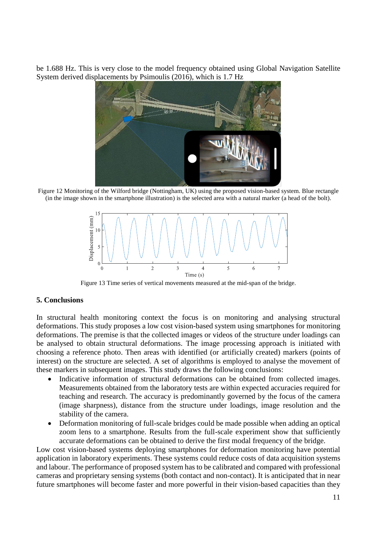be 1.688 Hz. This is very close to the model frequency obtained using Global Navigation Satellite System derived displacements by Psimoulis (2016), which is 1.7 Hz



Figure 12 Monitoring of the Wilford bridge (Nottingham, UK) using the proposed vision-based system. Blue rectangle (in the image shown in the smartphone illustration) is the selected area with a natural marker (a head of the bolt).

<span id="page-10-0"></span>

Figure 13 Time series of vertical movements measured at the mid-span of the bridge.

### <span id="page-10-1"></span>**5. Conclusions**

In structural health monitoring context the focus is on monitoring and analysing structural deformations. This study proposes a low cost vision-based system using smartphones for monitoring deformations. The premise is that the collected images or videos of the structure under loadings can be analysed to obtain structural deformations. The image processing approach is initiated with choosing a reference photo. Then areas with identified (or artificially created) markers (points of interest) on the structure are selected. A set of algorithms is employed to analyse the movement of these markers in subsequent images. This study draws the following conclusions:

- Indicative information of structural deformations can be obtained from collected images. Measurements obtained from the laboratory tests are within expected accuracies required for teaching and research. The accuracy is predominantly governed by the focus of the camera (image sharpness), distance from the structure under loadings, image resolution and the stability of the camera.
- Deformation monitoring of full-scale bridges could be made possible when adding an optical zoom lens to a smartphone. Results from the full-scale experiment show that sufficiently accurate deformations can be obtained to derive the first modal frequency of the bridge.

Low cost vision-based systems deploying smartphones for deformation monitoring have potential application in laboratory experiments. These systems could reduce costs of data acquisition systems and labour. The performance of proposed system has to be calibrated and compared with professional cameras and proprietary sensing systems (both contact and non-contact). It is anticipated that in near future smartphones will become faster and more powerful in their vision-based capacities than they